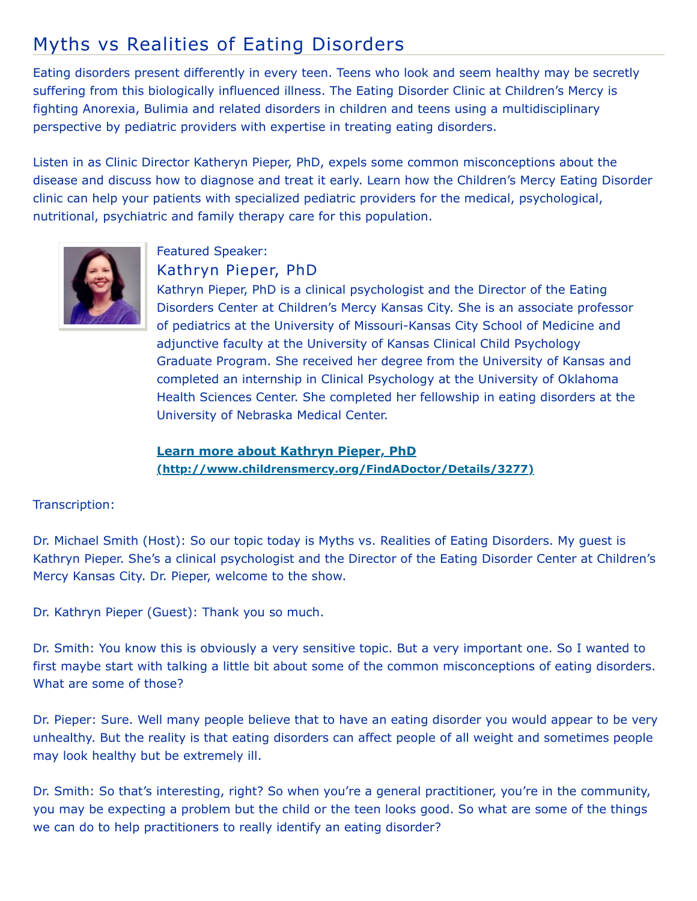## Myths vs Realities of Eating Disorders

Eating disorders present differently in every teen. Teens who look and seem healthy may be secretly suffering from this biologically influenced illness. The Eating Disorder Clinic at Children's Mercy is fighting Anorexia, Bulimia and related disorders in children and teens using a multidisciplinary perspective by pediatric providers with expertise in treating eating disorders.

Listen in as Clinic Director Katheryn Pieper, PhD, expels some common misconceptions about the disease and discuss how to diagnose and treat it early. Learn how the Children's Mercy Eating Disorder clinic can help your patients with specialized pediatric providers for the medical, psychological, nutritional, psychiatric and family therapy care for this population.



## Featured Speaker: Kathryn Pieper, PhD

Kathryn Pieper, PhD is a clinical psychologist and the Director of the Eating Disorders Center at Children's Mercy Kansas City. She is an associate professor of pediatrics at the University of Missouri-Kansas City School of Medicine and adjunctive faculty at the University of Kansas Clinical Child Psychology Graduate Program. She received her degree from the University of Kansas and completed an internship in Clinical Psychology at the University of Oklahoma Health Sciences Center. She completed her fellowship in eating disorders at the University of Nebraska Medical Center.

**Learn more about Kathryn Pieper, PhD [\(http://www.childrensmercy.org/FindADoctor/Details/3277\)](http://www.childrensmercy.org/FindADoctor/Details/3277)**

## Transcription:

Dr. Michael Smith (Host): So our topic today is Myths vs. Realities of Eating Disorders. My guest is Kathryn Pieper. She's a clinical psychologist and the Director of the Eating Disorder Center at Children's Mercy Kansas City. Dr. Pieper, welcome to the show.

Dr. Kathryn Pieper (Guest): Thank you so much.

Dr. Smith: You know this is obviously a very sensitive topic. But a very important one. So I wanted to first maybe start with talking a little bit about some of the common misconceptions of eating disorders. What are some of those?

Dr. Pieper: Sure. Well many people believe that to have an eating disorder you would appear to be very unhealthy. But the reality is that eating disorders can affect people of all weight and sometimes people may look healthy but be extremely ill.

Dr. Smith: So that's interesting, right? So when you're a general practitioner, you're in the community, you may be expecting a problem but the child or the teen looks good. So what are some of the things we can do to help practitioners to really identify an eating disorder?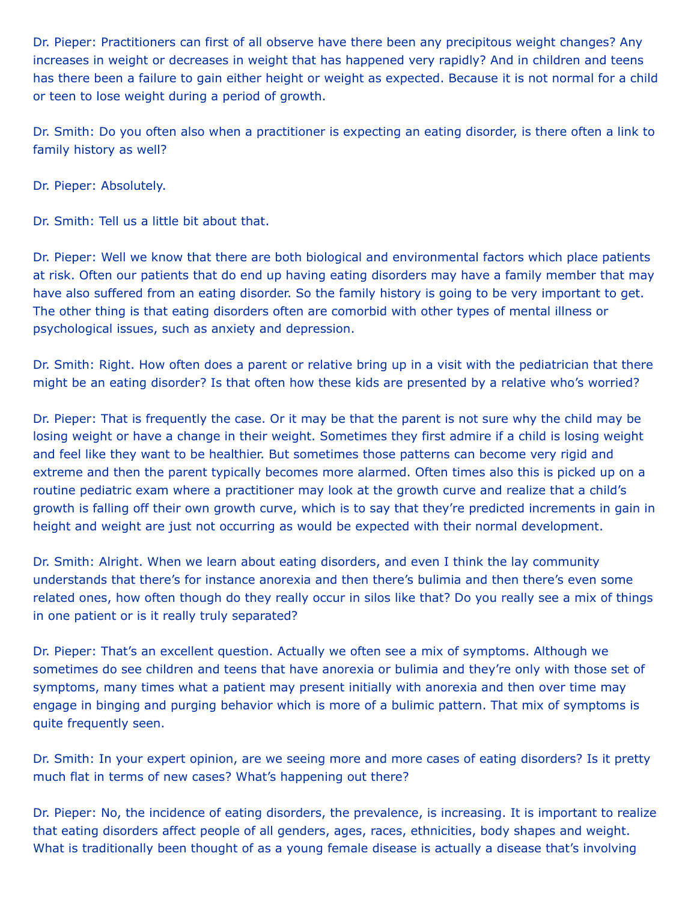Dr. Pieper: Practitioners can first of all observe have there been any precipitous weight changes? Any increases in weight or decreases in weight that has happened very rapidly? And in children and teens has there been a failure to gain either height or weight as expected. Because it is not normal for a child or teen to lose weight during a period of growth.

Dr. Smith: Do you often also when a practitioner is expecting an eating disorder, is there often a link to family history as well?

Dr. Pieper: Absolutely.

Dr. Smith: Tell us a little bit about that.

Dr. Pieper: Well we know that there are both biological and environmental factors which place patients at risk. Often our patients that do end up having eating disorders may have a family member that may have also suffered from an eating disorder. So the family history is going to be very important to get. The other thing is that eating disorders often are comorbid with other types of mental illness or psychological issues, such as anxiety and depression.

Dr. Smith: Right. How often does a parent or relative bring up in a visit with the pediatrician that there might be an eating disorder? Is that often how these kids are presented by a relative who's worried?

Dr. Pieper: That is frequently the case. Or it may be that the parent is not sure why the child may be losing weight or have a change in their weight. Sometimes they first admire if a child is losing weight and feel like they want to be healthier. But sometimes those patterns can become very rigid and extreme and then the parent typically becomes more alarmed. Often times also this is picked up on a routine pediatric exam where a practitioner may look at the growth curve and realize that a child's growth is falling off their own growth curve, which is to say that they're predicted increments in gain in height and weight are just not occurring as would be expected with their normal development.

Dr. Smith: Alright. When we learn about eating disorders, and even I think the lay community understands that there's for instance anorexia and then there's bulimia and then there's even some related ones, how often though do they really occur in silos like that? Do you really see a mix of things in one patient or is it really truly separated?

Dr. Pieper: That's an excellent question. Actually we often see a mix of symptoms. Although we sometimes do see children and teens that have anorexia or bulimia and they're only with those set of symptoms, many times what a patient may present initially with anorexia and then over time may engage in binging and purging behavior which is more of a bulimic pattern. That mix of symptoms is quite frequently seen.

Dr. Smith: In your expert opinion, are we seeing more and more cases of eating disorders? Is it pretty much flat in terms of new cases? What's happening out there?

Dr. Pieper: No, the incidence of eating disorders, the prevalence, is increasing. It is important to realize that eating disorders affect people of all genders, ages, races, ethnicities, body shapes and weight. What is traditionally been thought of as a young female disease is actually a disease that's involving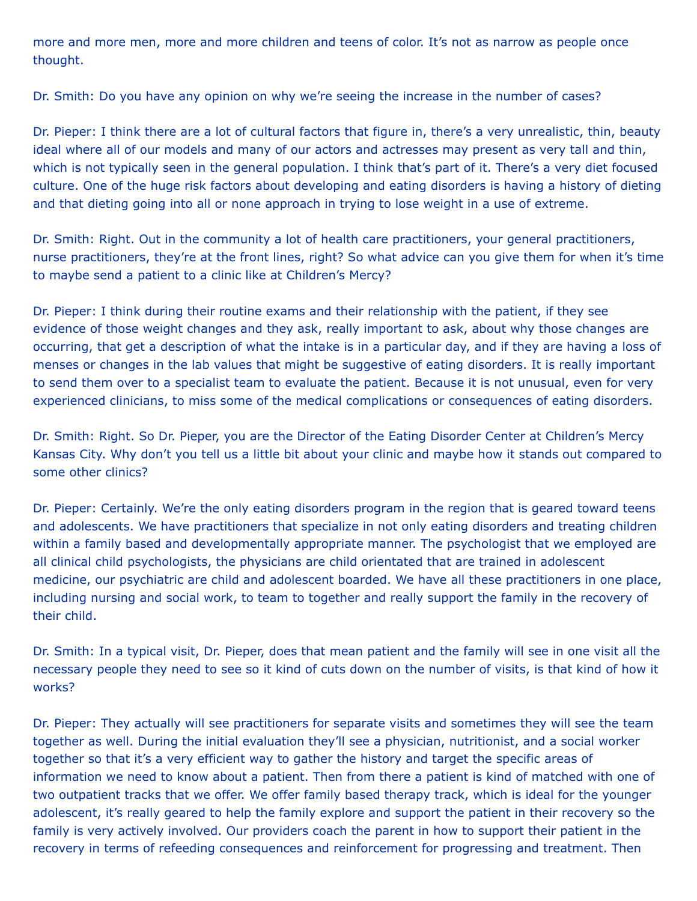more and more men, more and more children and teens of color. It's not as narrow as people once thought.

Dr. Smith: Do you have any opinion on why we're seeing the increase in the number of cases?

Dr. Pieper: I think there are a lot of cultural factors that figure in, there's a very unrealistic, thin, beauty ideal where all of our models and many of our actors and actresses may present as very tall and thin, which is not typically seen in the general population. I think that's part of it. There's a very diet focused culture. One of the huge risk factors about developing and eating disorders is having a history of dieting and that dieting going into all or none approach in trying to lose weight in a use of extreme.

Dr. Smith: Right. Out in the community a lot of health care practitioners, your general practitioners, nurse practitioners, they're at the front lines, right? So what advice can you give them for when it's time to maybe send a patient to a clinic like at Children's Mercy?

Dr. Pieper: I think during their routine exams and their relationship with the patient, if they see evidence of those weight changes and they ask, really important to ask, about why those changes are occurring, that get a description of what the intake is in a particular day, and if they are having a loss of menses or changes in the lab values that might be suggestive of eating disorders. It is really important to send them over to a specialist team to evaluate the patient. Because it is not unusual, even for very experienced clinicians, to miss some of the medical complications or consequences of eating disorders.

Dr. Smith: Right. So Dr. Pieper, you are the Director of the Eating Disorder Center at Children's Mercy Kansas City. Why don't you tell us a little bit about your clinic and maybe how it stands out compared to some other clinics?

Dr. Pieper: Certainly. We're the only eating disorders program in the region that is geared toward teens and adolescents. We have practitioners that specialize in not only eating disorders and treating children within a family based and developmentally appropriate manner. The psychologist that we employed are all clinical child psychologists, the physicians are child orientated that are trained in adolescent medicine, our psychiatric are child and adolescent boarded. We have all these practitioners in one place, including nursing and social work, to team to together and really support the family in the recovery of their child.

Dr. Smith: In a typical visit, Dr. Pieper, does that mean patient and the family will see in one visit all the necessary people they need to see so it kind of cuts down on the number of visits, is that kind of how it works?

Dr. Pieper: They actually will see practitioners for separate visits and sometimes they will see the team together as well. During the initial evaluation they'll see a physician, nutritionist, and a social worker together so that it's a very efficient way to gather the history and target the specific areas of information we need to know about a patient. Then from there a patient is kind of matched with one of two outpatient tracks that we offer. We offer family based therapy track, which is ideal for the younger adolescent, it's really geared to help the family explore and support the patient in their recovery so the family is very actively involved. Our providers coach the parent in how to support their patient in the recovery in terms of refeeding consequences and reinforcement for progressing and treatment. Then